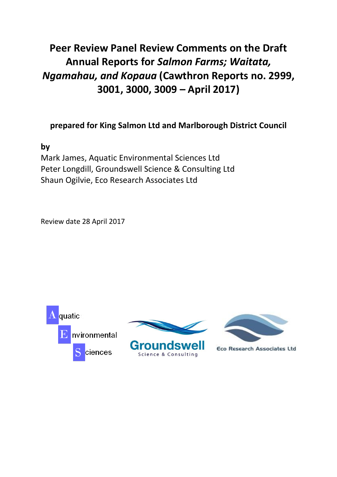# **Peer Review Panel Review Comments on the Draft Annual Reports for** *Salmon Farms; Waitata, Ngamahau, and Kopaua* **(Cawthron Reports no. 2999, 3001, 3000, 3009 – April 2017)**

# **prepared for King Salmon Ltd and Marlborough District Council**

**by** 

Mark James, Aquatic Environmental Sciences Ltd Peter Longdill, Groundswell Science & Consulting Ltd Shaun Ogilvie, Eco Research Associates Ltd

Review date 28 April 2017







**Eco Research Associates Ltd**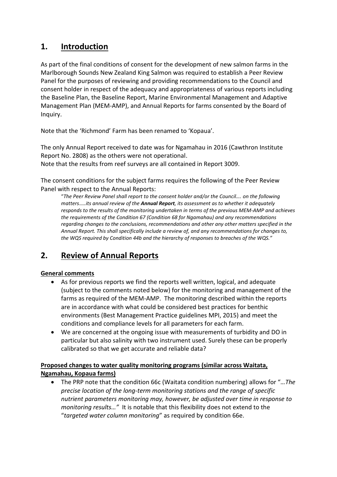# **1. Introduction**

As part of the final conditions of consent for the development of new salmon farms in the Marlborough Sounds New Zealand King Salmon was required to establish a Peer Review Panel for the purposes of reviewing and providing recommendations to the Council and consent holder in respect of the adequacy and appropriateness of various reports including the Baseline Plan, the Baseline Report, Marine Environmental Management and Adaptive Management Plan (MEM-AMP), and Annual Reports for farms consented by the Board of Inquiry.

Note that the 'Richmond' Farm has been renamed to 'Kopaua'.

The only Annual Report received to date was for Ngamahau in 2016 (Cawthron Institute Report No. 2808) as the others were not operational. Note that the results from reef surveys are all contained in Report 3009.

The consent conditions for the subject farms requires the following of the Peer Review Panel with respect to the Annual Reports:

"*The Peer Review Panel shall report to the consent holder and/or the Council…. on the following matters*….*.its annual review of the Annual Report, its assessment as to whether it adequately responds to the results of the monitoring undertaken in terms of the previous MEM-AMP and achieves the requirements of the Condition 67 (Condition 68 for Ngamahau) and any recommendations regarding changes to the conclusions, recommendations and other any other matters specified in the Annual Report. This shall specifically include a review of, and any recommendations for changes to, the WQS required by Condition 44b and the hierarchy of responses to breaches of the WQS."*

# **2. Review of Annual Reports**

### **General comments**

- As for previous reports we find the reports well written, logical, and adequate (subject to the comments noted below) for the monitoring and management of the farms as required of the MEM-AMP. The monitoring described within the reports are in accordance with what could be considered best practices for benthic environments (Best Management Practice guidelines MPI, 2015) and meet the conditions and compliance levels for all parameters for each farm.
- We are concerned at the ongoing issue with measurements of turbidity and DO in particular but also salinity with two instrument used. Surely these can be properly calibrated so that we get accurate and reliable data?

#### **Proposed changes to water quality monitoring programs (similar across Waitata, Ngamahau, Kopaua farms)**

• The PRP note that the condition 66c (Waitata condition numbering) allows for "*…The precise location of the long-term monitoring stations and the range of specific nutrient parameters monitoring may, however, be adjusted over time in response to monitoring results…"* It is notable that this flexibility does not extend to the "*targeted water column monitoring*" as required by condition 66e.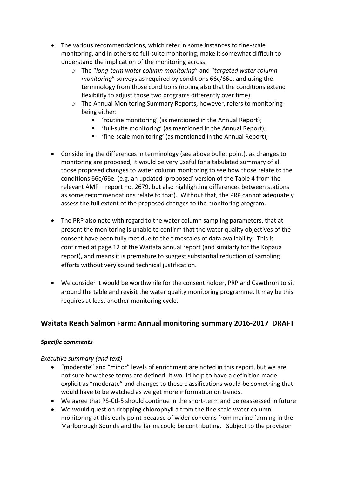- The various recommendations, which refer in some instances to fine-scale monitoring, and in others to full-suite monitoring, make it somewhat difficult to understand the implication of the monitoring across:
	- o The "*long-term water column monitoring*" and "*targeted water column monitoring*" surveys as required by conditions 66c/66e, and using the terminology from those conditions (noting also that the conditions extend flexibility to adjust those two programs differently over time).
	- o The Annual Monitoring Summary Reports, however, refers to monitoring being either:
		- 'routine monitoring' (as mentioned in the Annual Report);
		- 'full-suite monitoring' (as mentioned in the Annual Report);
		- 'fine-scale monitoring' (as mentioned in the Annual Report);
- Considering the differences in terminology (see above bullet point), as changes to monitoring are proposed, it would be very useful for a tabulated summary of all those proposed changes to water column monitoring to see how those relate to the conditions 66c/66e. (e.g. an updated 'proposed' version of the Table 4 from the relevant AMP – report no. 2679, but also highlighting differences between stations as some recommendations relate to that). Without that, the PRP cannot adequately assess the full extent of the proposed changes to the monitoring program.
- The PRP also note with regard to the water column sampling parameters, that at present the monitoring is unable to confirm that the water quality objectives of the consent have been fully met due to the timescales of data availability. This is confirmed at page 12 of the Waitata annual report (and similarly for the Kopaua report), and means it is premature to suggest substantial reduction of sampling efforts without very sound technical justification.
- We consider it would be worthwhile for the consent holder, PRP and Cawthron to sit around the table and revisit the water quality monitoring programme. It may be this requires at least another monitoring cycle.

# **Waitata Reach Salmon Farm: Annual monitoring summary 2016-2017 DRAFT**

#### *Specific comments*

#### *Executive summary (and text)*

- "moderate" and "minor" levels of enrichment are noted in this report, but we are not sure how these terms are defined. It would help to have a definition made explicit as "moderate" and changes to these classifications would be something that would have to be watched as we get more information on trends.
- We agree that PS-Ctl-5 should continue in the short-term and be reassessed in future
- We would question dropping chlorophyll a from the fine scale water column monitoring at this early point because of wider concerns from marine farming in the Marlborough Sounds and the farms could be contributing. Subject to the provision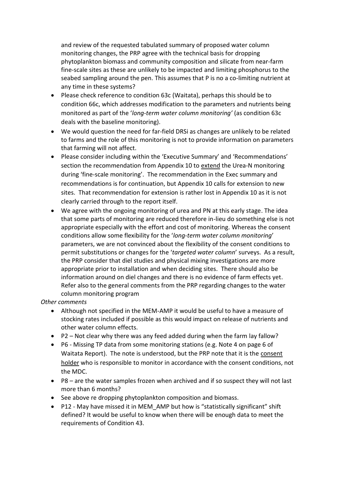and review of the requested tabulated summary of proposed water column monitoring changes, the PRP agree with the technical basis for dropping phytoplankton biomass and community composition and silicate from near-farm fine-scale sites as these are unlikely to be impacted and limiting phosphorus to the seabed sampling around the pen. This assumes that P is no a co-limiting nutrient at any time in these systems?

- Please check reference to condition 63c (Waitata), perhaps this should be to condition 66c, which addresses modification to the parameters and nutrients being monitored as part of the '*long-term water column monitoring'* (as condition 63c deals with the baseline monitoring).
- We would question the need for far-field DRSi as changes are unlikely to be related to farms and the role of this monitoring is not to provide information on parameters that farming will not affect.
- Please consider including within the 'Executive Summary' and 'Recommendations' section the recommendation from Appendix 10 to extend the Urea-N monitoring during 'fine-scale monitoring'. The recommendation in the Exec summary and recommendations is for continuation, but Appendix 10 calls for extension to new sites. That recommendation for extension is rather lost in Appendix 10 as it is not clearly carried through to the report itself.
- We agree with the ongoing monitoring of urea and PN at this early stage. The idea that some parts of monitoring are reduced therefore in-lieu do something else is not appropriate especially with the effort and cost of monitoring. Whereas the consent conditions allow some flexibility for the '*long-term water column monitoring*' parameters, we are not convinced about the flexibility of the consent conditions to permit substitutions or changes for the '*targeted water column*' surveys. As a result, the PRP consider that diel studies and physical mixing investigations are more appropriate prior to installation and when deciding sites. There should also be information around on diel changes and there is no evidence of farm effects yet. Refer also to the general comments from the PRP regarding changes to the water column monitoring program

#### *Other comments*

- Although not specified in the MEM-AMP it would be useful to have a measure of stocking rates included if possible as this would impact on release of nutrients and other water column effects.
- P2 Not clear why there was any feed added during when the farm lay fallow?
- P6 Missing TP data from some monitoring stations (e.g. Note 4 on page 6 of Waitata Report). The note is understood, but the PRP note that it is the consent holder who is responsible to monitor in accordance with the consent conditions, not the MDC.
- P8 are the water samples frozen when archived and if so suspect they will not last more than 6 months?
- See above re dropping phytoplankton composition and biomass.
- P12 May have missed it in MEM\_AMP but how is "statistically significant" shift defined? It would be useful to know when there will be enough data to meet the requirements of Condition 43.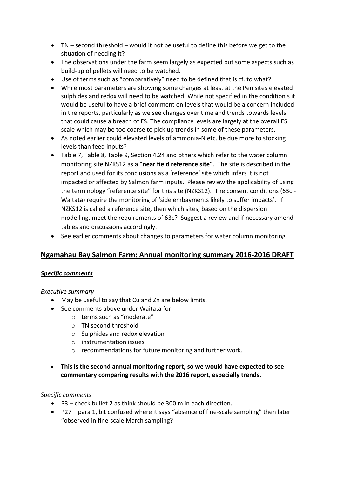- TN second threshold would it not be useful to define this before we get to the situation of needing it?
- The observations under the farm seem largely as expected but some aspects such as build-up of pellets will need to be watched.
- Use of terms such as "comparatively" need to be defined that is cf. to what?
- While most parameters are showing some changes at least at the Pen sites elevated sulphides and redox will need to be watched. While not specified in the condition s it would be useful to have a brief comment on levels that would be a concern included in the reports, particularly as we see changes over time and trends towards levels that could cause a breach of ES. The compliance levels are largely at the overall ES scale which may be too coarse to pick up trends in some of these parameters.
- As noted earlier could elevated levels of ammonia-N etc. be due more to stocking levels than feed inputs?
- Table 7, Table 8, Table 9, Section 4.24 and others which refer to the water column monitoring site NZKS12 as a "**near field reference site**". The site is described in the report and used for its conclusions as a 'reference' site which infers it is not impacted or affected by Salmon farm inputs. Please review the applicability of using the terminology "reference site" for this site (NZKS12). The consent conditions (63c - Waitata) require the monitoring of 'side embayments likely to suffer impacts'. If NZKS12 is called a reference site, then which sites, based on the dispersion modelling, meet the requirements of 63c? Suggest a review and if necessary amend tables and discussions accordingly.
- See earlier comments about changes to parameters for water column monitoring.

# **Ngamahau Bay Salmon Farm: Annual monitoring summary 2016-2016 DRAFT**

#### *Specific comments*

#### *Executive summary*

- May be useful to say that Cu and Zn are below limits.
- See comments above under Waitata for:
	- o terms such as "moderate"
	- o TN second threshold
	- o Sulphides and redox elevation
	- o instrumentation issues
	- o recommendations for future monitoring and further work.
- **This is the second annual monitoring report, so we would have expected to see commentary comparing results with the 2016 report, especially trends.**

#### *Specific comments*

- P3 check bullet 2 as think should be 300 m in each direction.
- P27 para 1, bit confused where it says "absence of fine-scale sampling" then later "observed in fine-scale March sampling?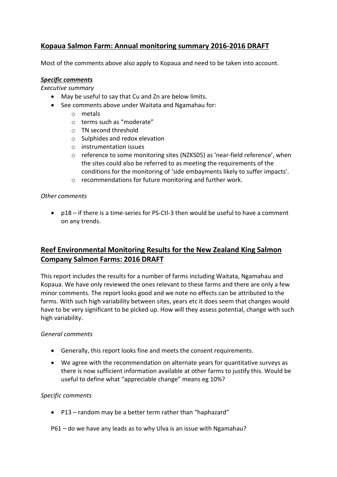# **Kopaua Salmon Farm: Annual monitoring summary 2016-2016 DRAFT**

Most of the comments above also apply to Kopaua and need to be taken into account.

#### *Specific comments*

*Executive summary*

- May be useful to say that Cu and Zn are below limits.
- See comments above under Waitata and Ngamahau for:
	- o metals
	- o terms such as "moderate"
	- o TN second threshold
	- o Sulphides and redox elevation
	- o instrumentation issues
	- o reference to some monitoring sites (NZKS05) as 'near-field reference', when the sites could also be referred to as meeting the requirements of the conditions for the monitoring of 'side embayments likely to suffer impacts'.
	- o recommendations for future monitoring and further work.

#### *Other comments*

• p18 – if there is a time-series for PS-Ctl-3 then would be useful to have a comment on any trends.

# **Reef Environmental Monitoring Results for the New Zealand King Salmon Company Salmon Farms: 2016 DRAFT**

This report includes the results for a number of farms including Waitata, Ngamahau and Kopaua. We have only reviewed the ones relevant to these farms and there are only a few minor comments. The report looks good and we note no effects can be attributed to the farms. With such high variability between sites, years etc it does seem that changes would have to be very significant to be picked up. How will they assess potential, change with such high variability.

#### *General comments*

- Generally, this report looks fine and meets the consent requirements.
- We agree with the recommendation on alternate years for quantitative surveys as there is now sufficient information available at other farms to justify this. Would be useful to define what "appreciable change" means eg 10%?

#### *Specific comments*

- P13 random may be a better term rather than "haphazard"
- P61 do we have any leads as to why Ulva is an issue with Ngamahau?